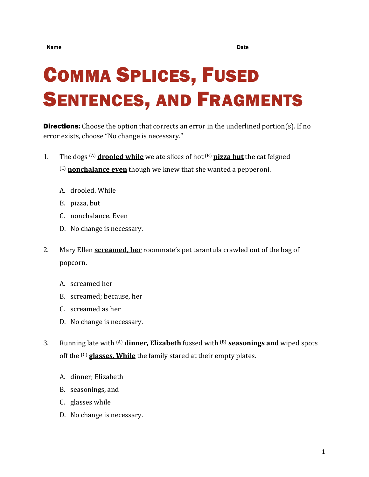## COMMA SPLICES, FUSED SENTENCES, AND FRAGMENTS

**Directions:** Choose the option that corrects an error in the underlined portion(s). If no error exists, choose "No change is necessary."

- 1. The dogs (A) **drooled while** we ate slices of hot (B) **pizza but** the cat feigned (C) **nonchalance even** though we knew that she wanted a pepperoni.
	- A. drooled. While
	- B. pizza, but
	- C. nonchalance. Even
	- D. No change is necessary.
- 2. Mary Ellen **screamed, her** roommate's pet tarantula crawled out of the bag of popcorn.
	- A. screamed her
	- B. screamed; because, her
	- C. screamed as her
	- D. No change is necessary.
- 3. Running late with (A) **dinner, Elizabeth** fussed with (B) **seasonings and** wiped spots off the (C) **glasses. While** the family stared at their empty plates.
	- A. dinner; Elizabeth
	- B. seasonings, and
	- C. glasses while
	- D. No change is necessary.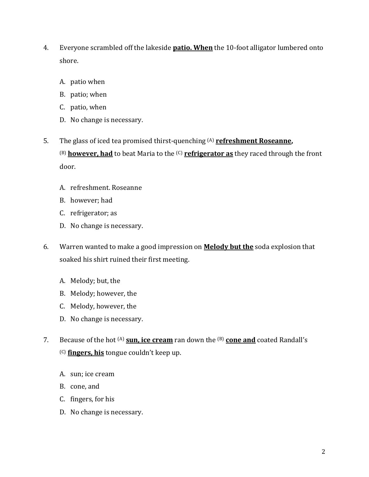- 4. Everyone scrambled off the lakeside **patio. When** the 10-foot alligator lumbered onto shore.
	- A. patio when
	- B. patio; when
	- C. patio, when
	- D. No change is necessary.
- 5. The glass of iced tea promised thirst-quenching (A) **refreshment Roseanne,** (B) **however, had** to beat Maria to the (C) **refrigerator as** they raced through the front door.
	- A. refreshment. Roseanne
	- B. however; had
	- C. refrigerator; as
	- D. No change is necessary.
- 6. Warren wanted to make a good impression on **Melody but the** soda explosion that soaked his shirt ruined their first meeting.
	- A. Melody; but, the
	- B. Melody; however, the
	- C. Melody, however, the
	- D. No change is necessary.
- 7. Because of the hot (A) **sun, ice cream** ran down the (B) **cone and** coated Randall's (C) **fingers, his** tongue couldn't keep up.
	- A. sun; ice cream
	- B. cone, and
	- C. fingers, for his
	- D. No change is necessary.